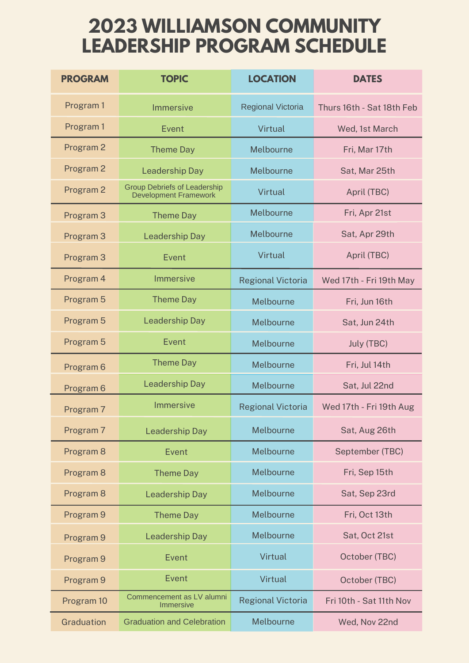## **2023 WILLIAMSON COMMUNITY LEADERSHIP PROGRAM SCHEDULE**

| <b>PROGRAM</b>       | <b>TOPIC</b>                                                        | <b>LOCATION</b>          | <b>DATES</b>              |
|----------------------|---------------------------------------------------------------------|--------------------------|---------------------------|
| Program 1            | <b>Immersive</b>                                                    | <b>Regional Victoria</b> | Thurs 16th - Sat 18th Feb |
| Program 1            | Event                                                               | Virtual                  | Wed, 1st March            |
| Program 2            | <b>Theme Day</b>                                                    | Melbourne                | Fri, Mar 17th             |
| Program 2            | <b>Leadership Day</b>                                               | Melbourne                | Sat, Mar 25th             |
| Program <sub>2</sub> | <b>Group Debriefs of Leadership</b><br><b>Development Framework</b> | Virtual                  | April (TBC)               |
| Program 3            | <b>Theme Day</b>                                                    | Melbourne                | Fri, Apr 21st             |
| Program 3            | <b>Leadership Day</b>                                               | Melbourne                | Sat, Apr 29th             |
| Program 3            | Event                                                               | Virtual                  | April (TBC)               |
| Program 4            | <b>Immersive</b>                                                    | <b>Regional Victoria</b> | Wed 17th - Fri 19th May   |
| Program 5            | <b>Theme Day</b>                                                    | Melbourne                | Fri, Jun 16th             |
| Program <sub>5</sub> | <b>Leadership Day</b>                                               | Melbourne                | Sat, Jun 24th             |
| Program <sub>5</sub> | Event                                                               | Melbourne                | July (TBC)                |
| Program <sub>6</sub> | <b>Theme Day</b>                                                    | Melbourne                | Fri, Jul 14th             |
| Program <sub>6</sub> | <b>Leadership Day</b>                                               | Melbourne                | Sat, Jul 22nd             |
| Program 7            | <b>Immersive</b>                                                    | <b>Regional Victoria</b> | Wed 17th - Fri 19th Aug   |
| Program <sub>7</sub> | <b>Leadership Day</b>                                               | Melbourne                | Sat, Aug 26th             |
| Program <sub>8</sub> | Event                                                               | Melbourne                | September (TBC)           |
| Program <sub>8</sub> | <b>Theme Day</b>                                                    | Melbourne                | Fri, Sep 15th             |
| Program <sub>8</sub> | <b>Leadership Day</b>                                               | Melbourne                | Sat, Sep 23rd             |
| Program <sub>9</sub> | <b>Theme Day</b>                                                    | Melbourne                | Fri, Oct 13th             |
| Program <sub>9</sub> | <b>Leadership Day</b>                                               | Melbourne                | Sat, Oct 21st             |
| Program <sub>9</sub> | <b>Event</b>                                                        | Virtual                  | October (TBC)             |
| Program <sub>9</sub> | <b>Event</b>                                                        | <b>Virtual</b>           | October (TBC)             |
| Program 10           | Commencement as LV alumni<br><b>Immersive</b>                       | <b>Regional Victoria</b> | Fri 10th - Sat 11th Nov   |
| Graduation           | <b>Graduation and Celebration</b>                                   | Melbourne                | Wed, Nov 22nd             |